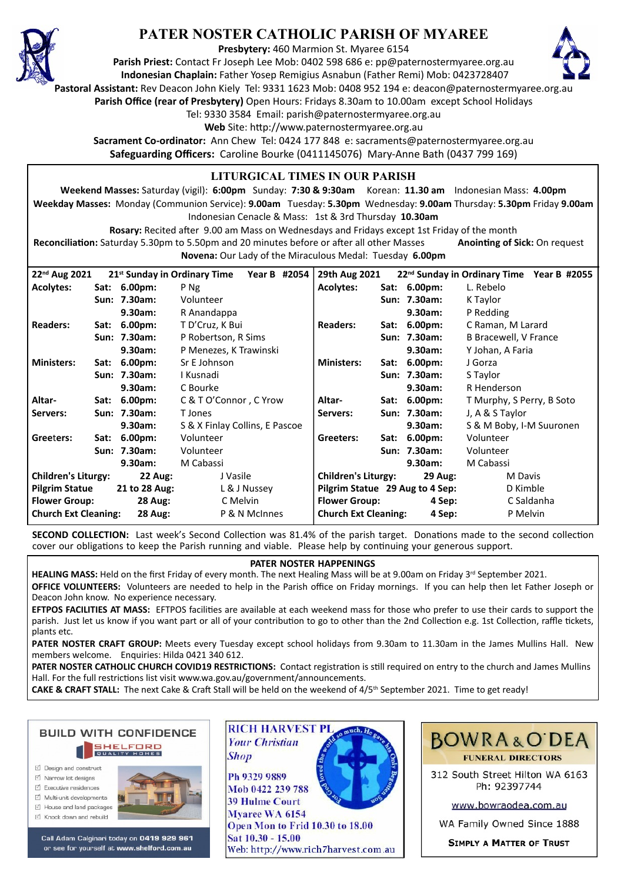

# **PATER NOSTER CATHOLIC PARISH OF MYAREE**

**Presbytery:** 460 Marmion St. Myaree 6154

**Parish Priest:** Contact Fr Joseph Lee Mob: 0402 598 686 e: pp@paternostermyaree.org.au **Indonesian Chaplain:** Father Yosep Remigius Asnabun (Father Remi) Mob: 0423728407



**Pastoral Assistant:** Rev Deacon John Kiely Tel: 9331 1623 Mob: 0408 952 194 e: deacon@paternostermyaree.org.au

**Parish Office (rear of Presbytery)** Open Hours: Fridays 8.30am to 10.00am except School Holidays

Tel: 9330 3584 Email: parish@paternostermyaree.org.au

Web Site: http://www.paternostermyaree.org.au

**Sacrament Co-ordinator:** Ann Chew Tel: 0424 177 848 e: sacraments@paternostermyaree.org.au **Safeguarding Officers:** Caroline Bourke (0411145076) Mary-Anne Bath (0437 799 169)

### **LITURGICAL TIMES IN OUR PARISH**

**Weekend Masses:** Saturday (vigil): **6:00pm** Sunday: **7:30 & 9:30am** Korean: **11.30 am** Indonesian Mass: **4.00pm Weekday Masses:** Monday (Communion Service): **9.00am** Tuesday: **5.30pm** Wednesday: **9.00am** Thursday: **5.30pm** Friday **9.00am** Indonesian Cenacle & Mass: 1st & 3rd Thursday **10.30am**

**Rosary:** Recited a�er 9.00 am Mass on Wednesdays and Fridays except 1st Friday of the month Reconciliation: Saturday 5.30pm to 5.50pm and 20 minutes before or after all other Masses **Anointing of Sick:** On request **Novena:** Our Lady of the Miraculous Medal: Tuesday **6.00pm**

| 22 <sup>nd</sup> Aug 2021                     |      |                | 21 <sup>st</sup> Sunday in Ordinary Time Year B #2054 |                                 | 29th Aug 2021                         |      |                | 22 <sup>nd</sup> Sunday in Ordinary Time Year B #2055 |
|-----------------------------------------------|------|----------------|-------------------------------------------------------|---------------------------------|---------------------------------------|------|----------------|-------------------------------------------------------|
| <b>Acolytes:</b>                              |      | Sat: 6.00pm:   | P Ng                                                  |                                 | Acolytes:                             |      | Sat: 6.00pm:   | L. Rebelo                                             |
|                                               |      | Sun: 7.30am:   | Volunteer                                             |                                 |                                       |      | Sun: 7.30am:   | K Taylor                                              |
|                                               |      | 9.30am:        | R Anandappa                                           |                                 |                                       |      | 9.30am:        | P Redding                                             |
| <b>Readers:</b>                               |      | Sat: 6.00pm:   | T D'Cruz, K Bui                                       |                                 | <b>Readers:</b>                       |      | Sat: 6.00pm:   | C Raman, M Larard                                     |
|                                               |      | Sun: 7.30am:   | P Robertson, R Sims                                   |                                 |                                       |      | Sun: 7.30am:   | <b>B Bracewell, V France</b>                          |
|                                               |      | 9.30am:        | P Menezes, K Trawinski                                |                                 |                                       |      | 9.30am:        | Y Johan, A Faria                                      |
| <b>Ministers:</b>                             | Sat: | $6.00pm$ :     | Sr E Johnson                                          |                                 | <b>Ministers:</b>                     | Sat: | $6.00pm$ :     | J Gorza                                               |
|                                               |      | Sun: 7.30am:   | I Kusnadi                                             |                                 |                                       |      | Sun: 7.30am:   | S Taylor                                              |
|                                               |      | 9.30am:        | C Bourke                                              |                                 |                                       |      | 9.30am:        | R Henderson                                           |
| Altar-                                        |      | Sat: 6.00pm:   | C & T O'Connor, C Yrow                                |                                 | Altar-                                |      | Sat: 6.00pm:   | T Murphy, S Perry, B Soto                             |
| Servers:                                      |      | Sun: 7.30am:   | T Jones                                               |                                 | Servers:                              |      | Sun: 7.30am:   | J, A & S Taylor                                       |
|                                               |      | 9.30am:        | S & X Finlay Collins, E Pascoe                        |                                 |                                       |      | 9.30am:        | S & M Boby, I-M Suuronen                              |
| Greeters:                                     | Sat: | $6.00pm$ :     | Volunteer                                             |                                 | Greeters:                             |      | Sat: 6.00pm:   | Volunteer                                             |
|                                               |      | Sun: 7.30am:   | Volunteer                                             |                                 |                                       |      | Sun: 7.30am:   | Volunteer                                             |
|                                               |      | 9.30am:        | M Cabassi                                             |                                 |                                       |      | 9.30am:        | M Cabassi                                             |
| <b>Children's Liturgy:</b>                    |      | <b>22 Aug:</b> | J Vasile                                              |                                 | <b>Children's Liturgy:</b>            |      | <b>29 Aug:</b> | M Davis                                               |
| <b>Pilgrim Statue</b><br>21 to 28 Aug:        |      | L & J Nussey   |                                                       | Pilgrim Statue 29 Aug to 4 Sep: |                                       |      | D Kimble       |                                                       |
| <b>Flower Group:</b>                          |      | <b>28 Aug:</b> | C Melvin                                              |                                 | <b>Flower Group:</b>                  |      | 4 Sep:         | C Saldanha                                            |
| <b>Church Ext Cleaning:</b><br><b>28 Aug:</b> |      |                | P & N McInnes                                         |                                 | <b>Church Ext Cleaning:</b><br>4 Sep: |      |                | P Melvin                                              |

**SECOND COLLECTION:** Last week's Second Collection was 81.4% of the parish target. Donations made to the second collection cover our obligations to keep the Parish running and viable. Please help by continuing your generous support.

#### **PATER NOSTER HAPPENINGS**

HEALING MASS: Held on the first Friday of every month. The next Healing Mass will be at 9.00am on Friday 3<sup>rd</sup> September 2021.

**OFFICE VOLUNTEERS:** Volunteers are needed to help in the Parish office on Friday mornings. If you can help then let Father Joseph or Deacon John know. No experience necessary.

**EFTPOS FACILITIES AT MASS:** EFTPOS facilities are available at each weekend mass for those who prefer to use their cards to support the parish. Just let us know if you want part or all of your contribution to go to other than the 2nd Collection e.g. 1st Collection, raffle tickets, plants etc.

**PATER NOSTER CRAFT GROUP:** Meets every Tuesday except school holidays from 9.30am to 11.30am in the James Mullins Hall. New members welcome. Enquiries: Hilda 0421 340 612.

PATER NOSTER CATHOLIC CHURCH COVID19 RESTRICTIONS: Contact registration is still required on entry to the church and James Mullins Hall. For the full restrictions list visit www.wa.gov.au/government/announcements.

CAKE & CRAFT STALL: The next Cake & Craft Stall will be held on the weekend of 4/5<sup>th</sup> September 2021. Time to get ready!



- ☑ Design and construct
- $\triangledown$  Narrow lot designs
- $\triangledown$  Executive residences
- $\overrightarrow{2}$  Multi-unit developments
- M House and land packages ☑ Knock down and rebuild



Call Adam Calginari today on 0419 929 961 or see for yourself at www.shelford.com.au



Ph 9329 9889 Mob 0422 239 788 **39 Hulme Court** Myaree WA 6154 Open Mon to Frid 10.30 to 18.00 Sat 10.30 - 15.00 Web: http://www.rich7harvest.com.au



312 South Street Hilton WA 6163 Ph: 92397744

www.bowraodea.com.au

WA Family Owned Since 1888

**SIMPLY A MATTER OF TRUST**